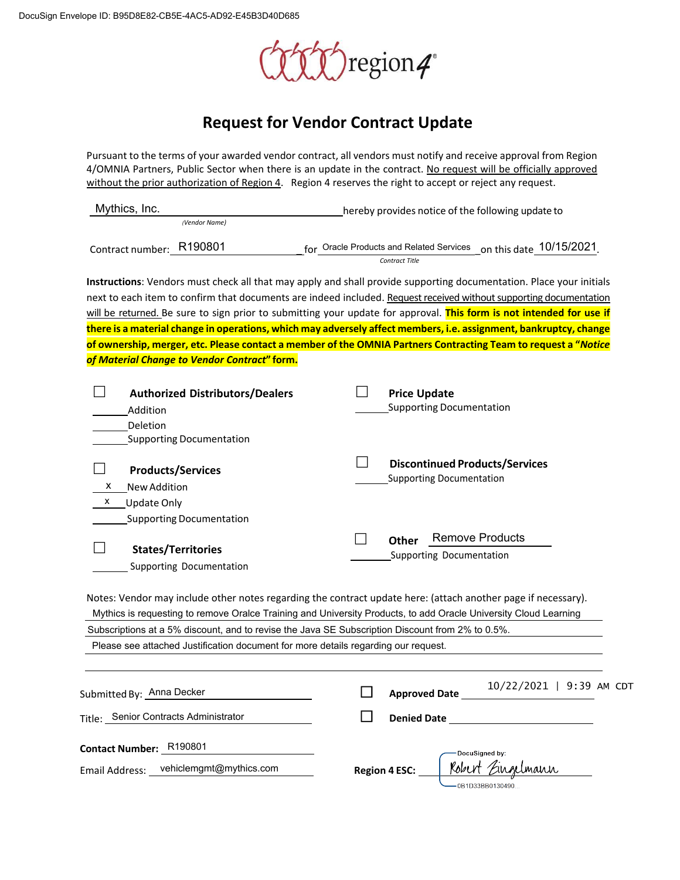

# **Request for Vendor Contract Update**

Pursuant to the terms of your awarded vendor contract, all vendors must notify and receive approval from Region 4/OMNIA Partners, Public Sector when there is an update in the contract. No request will be officially approved without the prior authorization of Region 4. Region 4 reserves the right to accept or reject any request.

| Mythics, Inc.                                                                                    | hereby provides notice of the following update to                                                                    |
|--------------------------------------------------------------------------------------------------|----------------------------------------------------------------------------------------------------------------------|
| (Vendor Name)                                                                                    |                                                                                                                      |
| Contract number: R190801                                                                         | on this date 10/15/2021<br>for Oracle Products and Related Services                                                  |
|                                                                                                  | <b>Contract Title</b>                                                                                                |
|                                                                                                  | Instructions: Vendors must check all that may apply and shall provide supporting documentation. Place your initials  |
|                                                                                                  | next to each item to confirm that documents are indeed included. Request received without supporting documentation   |
|                                                                                                  | will be returned. Be sure to sign prior to submitting your update for approval. This form is not intended for use if |
|                                                                                                  | there is a material change in operations, which may adversely affect members, i.e. assignment, bankruptcy, change    |
|                                                                                                  | of ownership, merger, etc. Please contact a member of the OMNIA Partners Contracting Team to request a "Notice       |
| of Material Change to Vendor Contract" form.                                                     |                                                                                                                      |
|                                                                                                  |                                                                                                                      |
| <b>Authorized Distributors/Dealers</b>                                                           | <b>Price Update</b>                                                                                                  |
| Addition                                                                                         | <b>Supporting Documentation</b>                                                                                      |
| Deletion                                                                                         |                                                                                                                      |
| <b>Supporting Documentation</b>                                                                  |                                                                                                                      |
| <b>Products/Services</b>                                                                         | <b>Discontinued Products/Services</b>                                                                                |
| New Addition<br>х                                                                                | <b>Supporting Documentation</b>                                                                                      |
| <b>Update Only</b><br>x                                                                          |                                                                                                                      |
|                                                                                                  |                                                                                                                      |
| <b>Supporting Documentation</b>                                                                  |                                                                                                                      |
| <b>States/Territories</b>                                                                        | <b>Remove Products</b><br><b>Other</b>                                                                               |
| Supporting Documentation                                                                         | Supporting Documentation                                                                                             |
|                                                                                                  |                                                                                                                      |
|                                                                                                  | Notes: Vendor may include other notes regarding the contract update here: (attach another page if necessary).        |
|                                                                                                  | Mythics is requesting to remove Oralce Training and University Products, to add Oracle University Cloud Learning     |
| Subscriptions at a 5% discount, and to revise the Java SE Subscription Discount from 2% to 0.5%. |                                                                                                                      |
| Please see attached Justification document for more details regarding our request.               |                                                                                                                      |
|                                                                                                  |                                                                                                                      |
|                                                                                                  | 10/22/2021   9:39 AM CDT                                                                                             |
| Submitted By: Anna Decker                                                                        | <b>Approved Date</b>                                                                                                 |
| Title: Senior Contracts Administrator                                                            | <b>Denied Date</b>                                                                                                   |
|                                                                                                  |                                                                                                                      |
| Contact Number: R190801                                                                          | DocuSigned by:                                                                                                       |
| Email Address: vehiclemgmt@mythics.com                                                           | <b>Region 4 ESC:</b>                                                                                                 |
|                                                                                                  | 0B1D33BB0130490                                                                                                      |